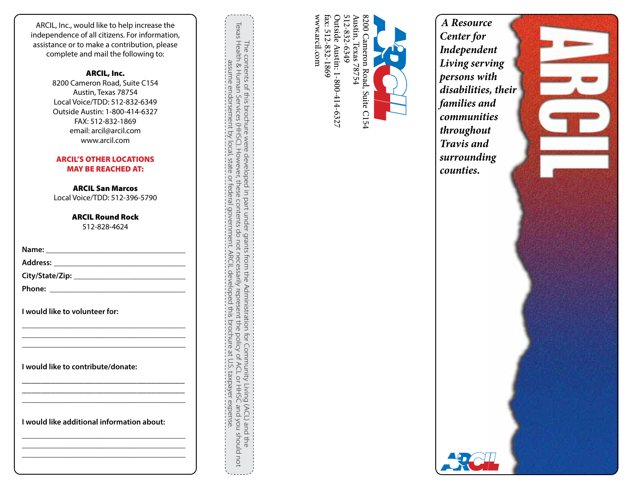ARCIL, Inc., would like to help increase the independence of all citizens. For information, assistance or to make a contribution, please complete and mail the following to:

#### ARCIL, Inc.

8200 Cameron Road, Suite C154 Austin, Texas 78754 Local Voice/TDD: 512-832-6349 Outside Austin: 1-800-414-6327 FAX: 512-832-1869 email: arcil@arcil.com www.arcil.com

#### ARCIL'S OTHER LOCATIONS MAY BE REACHED AT:

ARCIL San Marcos Local Voice/TDD: 512-396-5790

> ARCIL Round Rock 512-828-4624

| I would like to volunteer for:             |
|--------------------------------------------|
|                                            |
| I would like to contribute/donate:         |
|                                            |
| I would like additional information about: |
|                                            |

The contents of this brochure were developed in part under grants from the Administration for Community Living (ACL) and the<br>Texas Health & Human Services (HHSC). However, these contents do not necessarily represent the po Texas Health & Human Services (HHSC). However, these contents do not necessarily represent the policy of ACL or HHSC and you should not The contents of this brochure were developed in part under grants from the Administration for Community Living (ACL) and the assume endorsement by local, state or federal government. ARCIL developed this brochure at U.S. taxpayer expense.



www.arcil.com fax: 512-832-1869

www.arcil.com

*A Resource Center for Independent Living serving persons with disabilities, their families and communities throughout Travis and surrounding counties.*